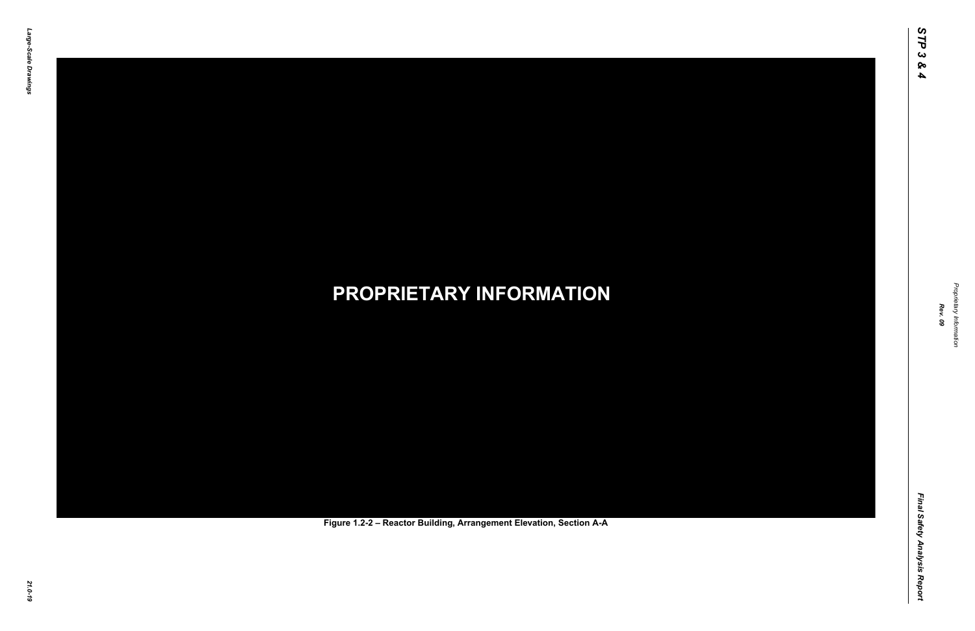Final Safety Analysis Report *Final Safety Analysis Report*



Proprietary Information *Proprietary Information*

### *21.0-19* **PROPRIETARY INFORMATION Figure 1.2-2 – Reactor Building, Arrangement Elevation, Section A-A**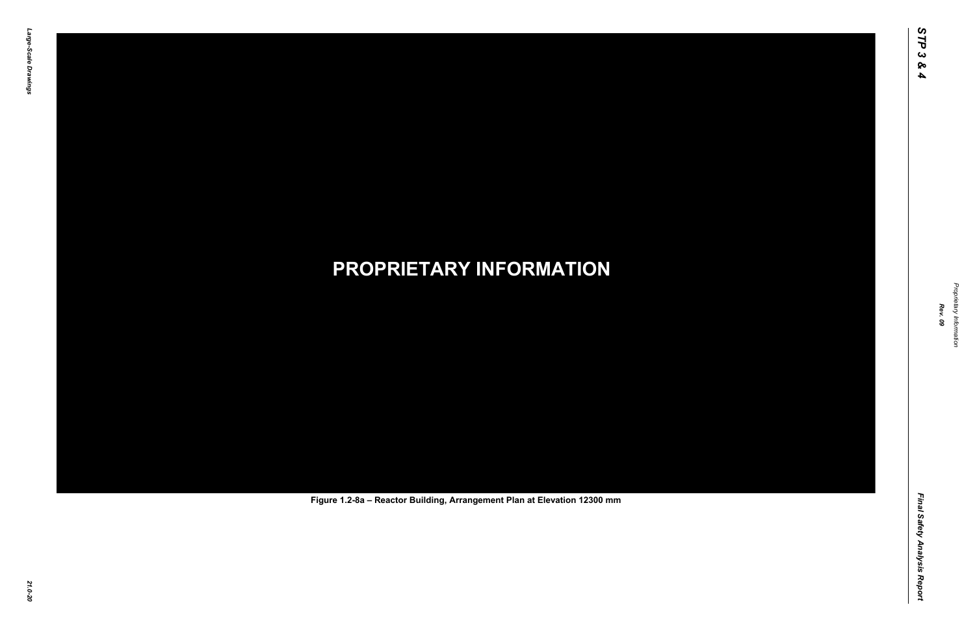Final Safety Analysis Report *Final Safety Analysis Report*

Proprietary Information *Proprietary Information*

# *21.0-20* **PROPRIETARY INFORMATION Figure 1.2-8a – Reactor Building, Arrangement Plan at Elevation 12300 mm**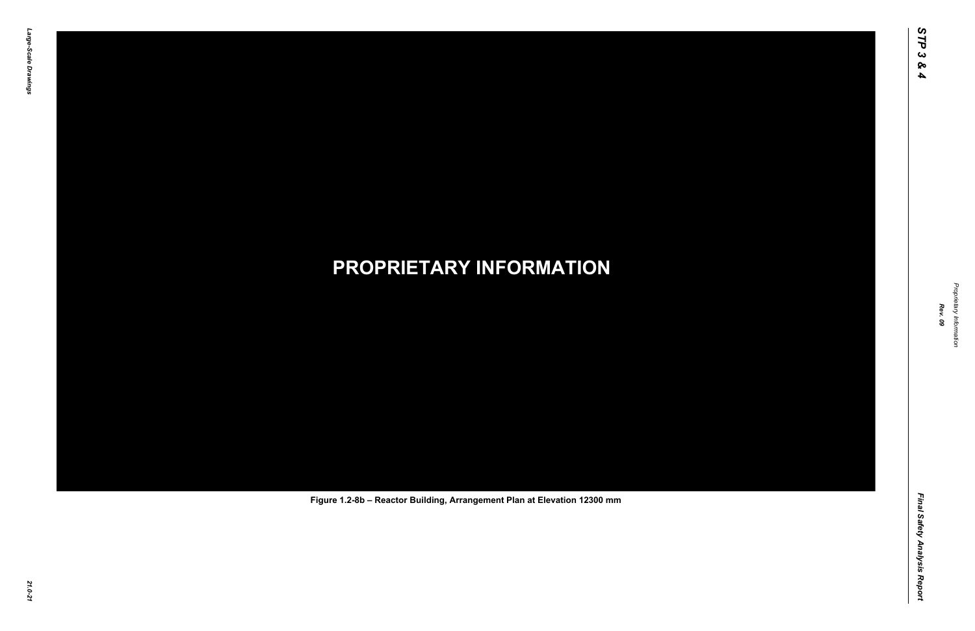Final Safety Analysis Report *Final Safety Analysis Report*



Proprietary Information *Proprietary Information*

# *21.0-21* **PROPRIETARY INFORMATION Figure 1.2-8b – Reactor Building, Arrangement Plan at Elevation 12300 mm**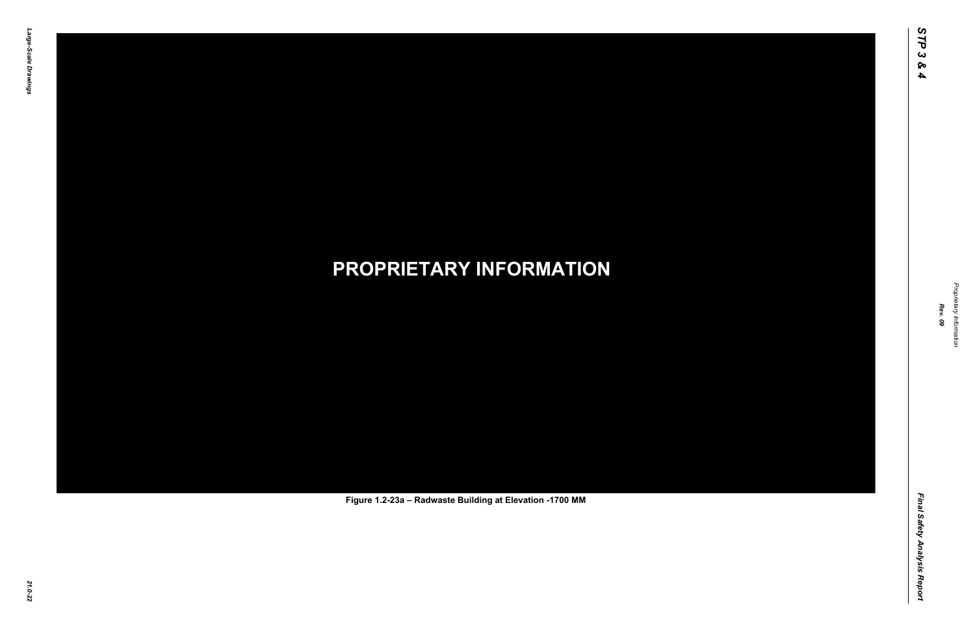Final Safety Analysis Report *Final Safety Analysis Report*

Proprietary Information *Proprietary Information*

# *21.0-22* **PROPRIETARY INFORMATION Figure 1.2-23a – Radwaste Building at Elevation -1700 MM**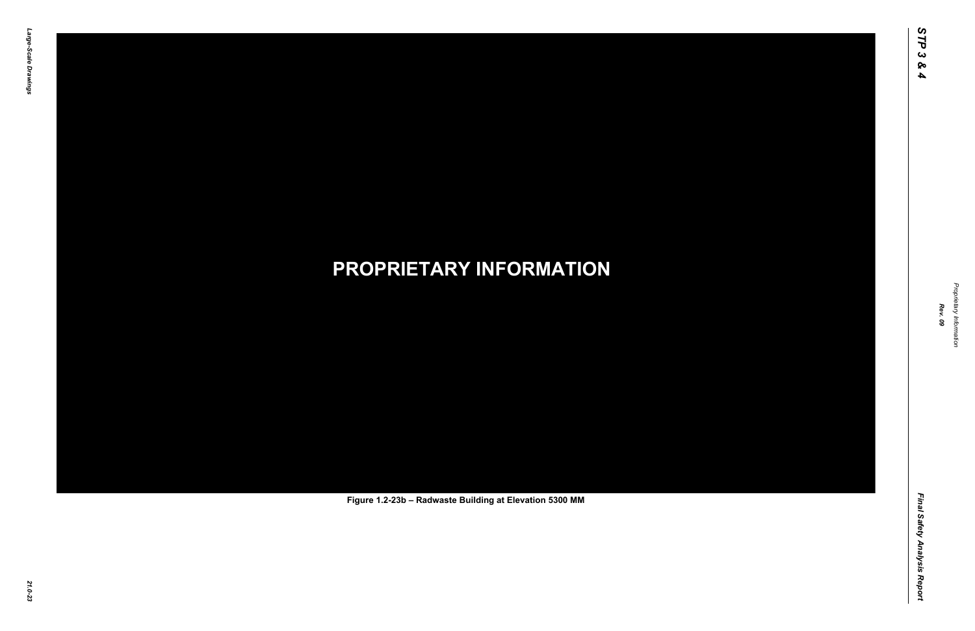Final Safety Analysis Report *Final Safety Analysis Report*

Proprietary Information *Proprietary Information*

# *21.0-23* **PROPRIETARY INFORMATION Figure 1.2-23b – Radwaste Building at Elevation 5300 MM**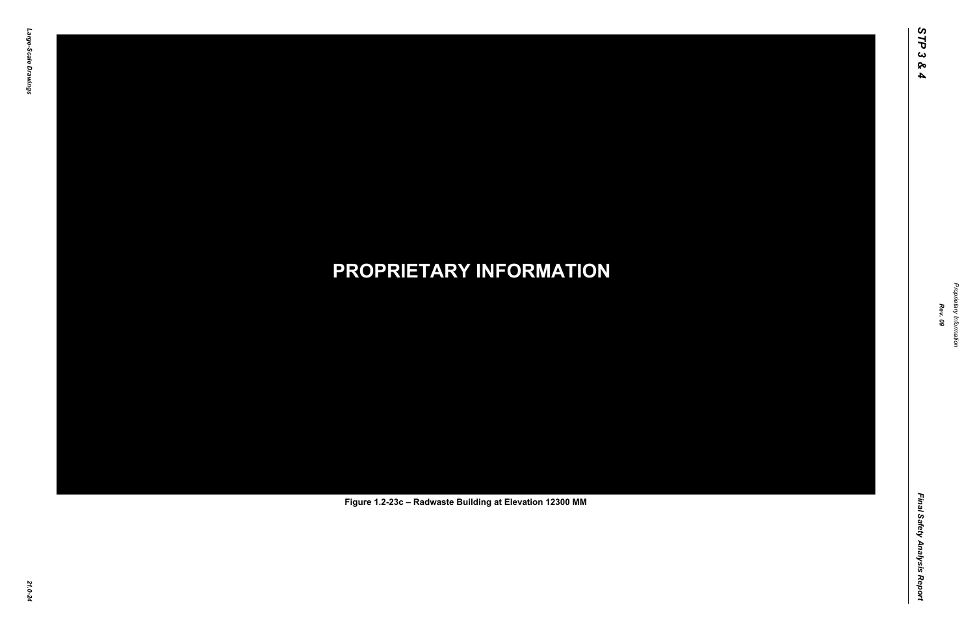Final Safety Analysis Report *Final Safety Analysis Report*



Proprietary Information *Proprietary Information*

# *21.0-24* **PROPRIETARY INFORMATION Figure 1.2-23c – Radwaste Building at Elevation 12300 MM**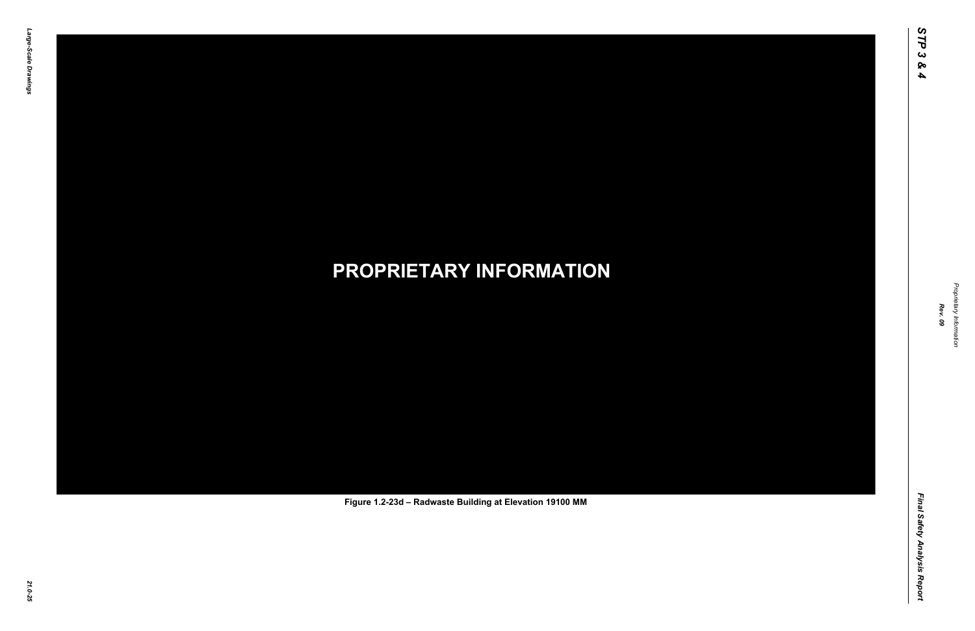Final Safety Analysis Report *Final Safety Analysis Report*



Proprietary Information *Proprietary Information*

# *21.0-25* **PROPRIETARY INFORMATION Figure 1.2-23d – Radwaste Building at Elevation 19100 MM**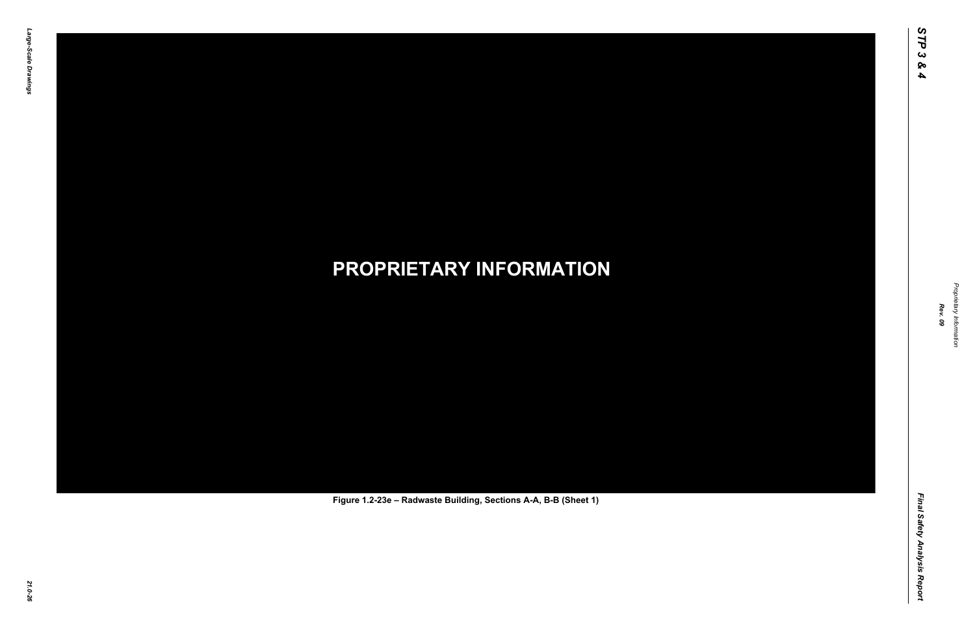Final Safety Analysis Report *Final Safety Analysis Report*

Proprietary Information *Proprietary Information*

# *21.0-26* **PROPRIETARY INFORMATION Figure 1.2-23e – Radwaste Building, Sections A-A, B-B (Sheet 1)**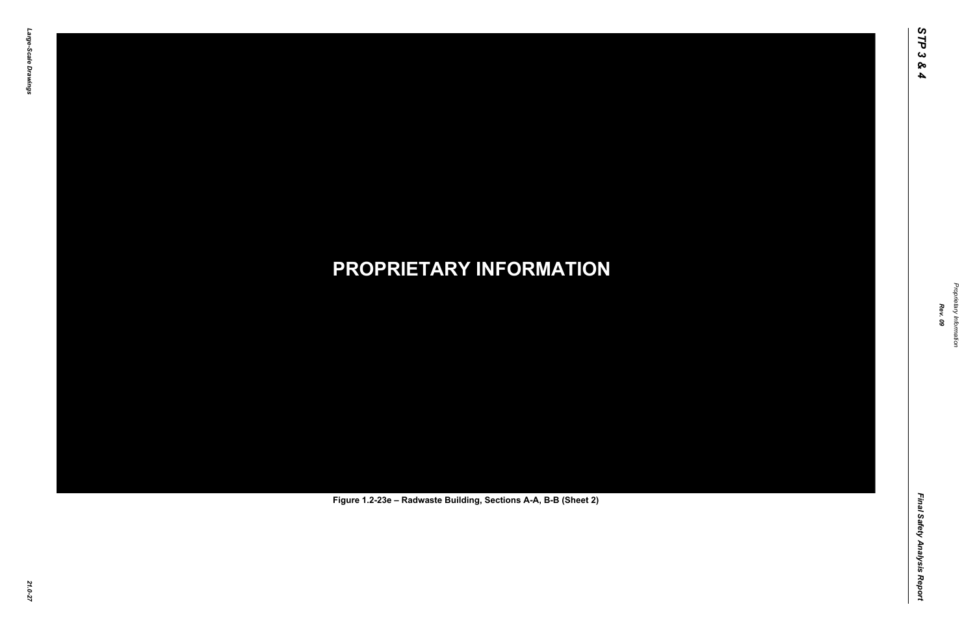Final Safety Analysis Report *Final Safety Analysis Report*

Proprietary Information *Proprietary Information*

# *21.0-27* **PROPRIETARY INFORMATION Figure 1.2-23e – Radwaste Building, Sections A-A, B-B (Sheet 2)**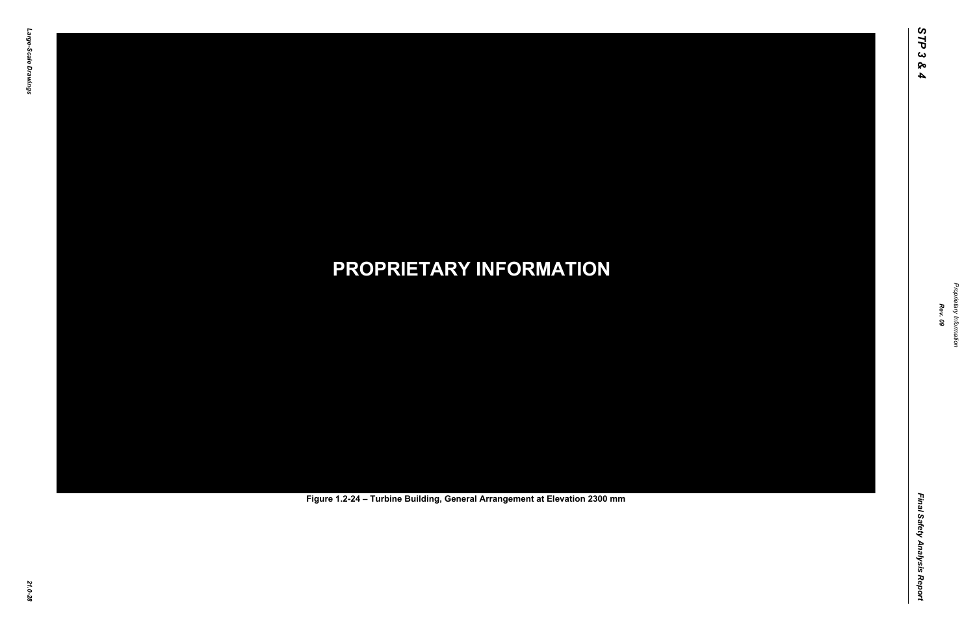Final Safety Analysis Report *Final Safety Analysis Report*

Proprietary Information *Proprietary Information*

# *21.0-28* **PROPRIETARY INFORMATION Figure 1.2-24 – Turbine Building, General Arrangement at Elevation 2300 mm**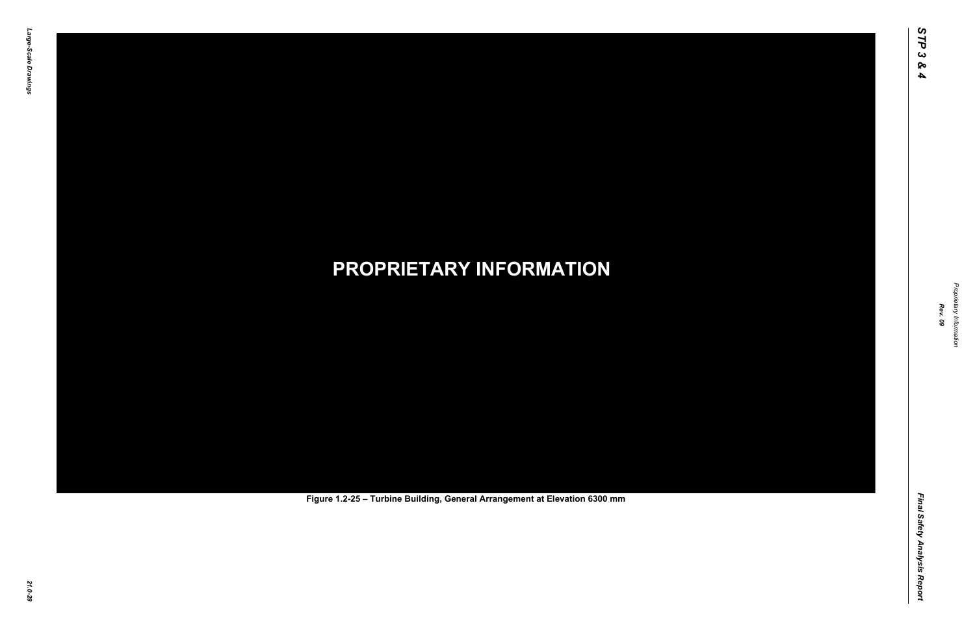Final Safety Analysis Report *Final Safety Analysis Report*

Proprietary Information *Proprietary Information*

# *21.0-29* **PROPRIETARY INFORMATION Figure 1.2-25 – Turbine Building, General Arrangement at Elevation 6300 mm**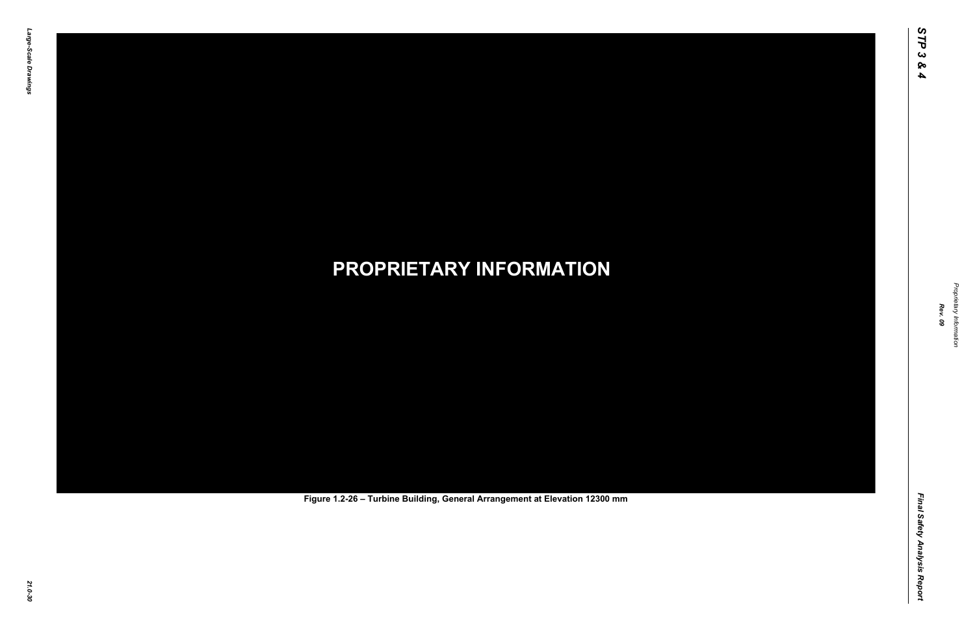Final Safety Analysis Report *Final Safety Analysis Report*

Proprietary Information *Proprietary Information*

# *21.0-30* **PROPRIETARY INFORMATION Figure 1.2-26 – Turbine Building, General Arrangement at Elevation 12300 mm**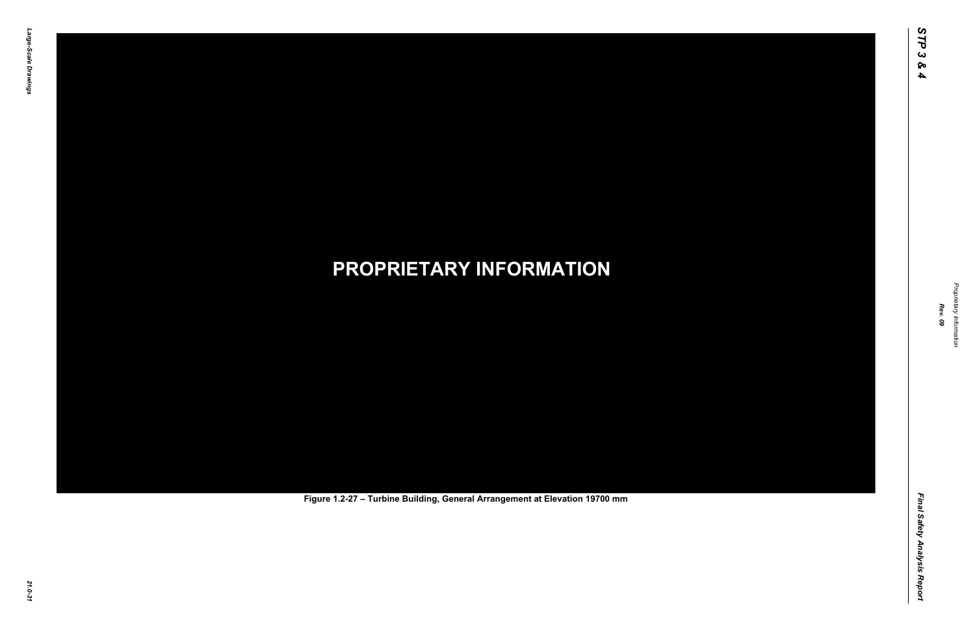Final Safety Analysis Report *Final Safety Analysis Report*

Proprietary Information *Proprietary Information*

# *21.0-31* **PROPRIETARY INFORMATION Figure 1.2-27 – Turbine Building, General Arrangement at Elevation 19700 mm**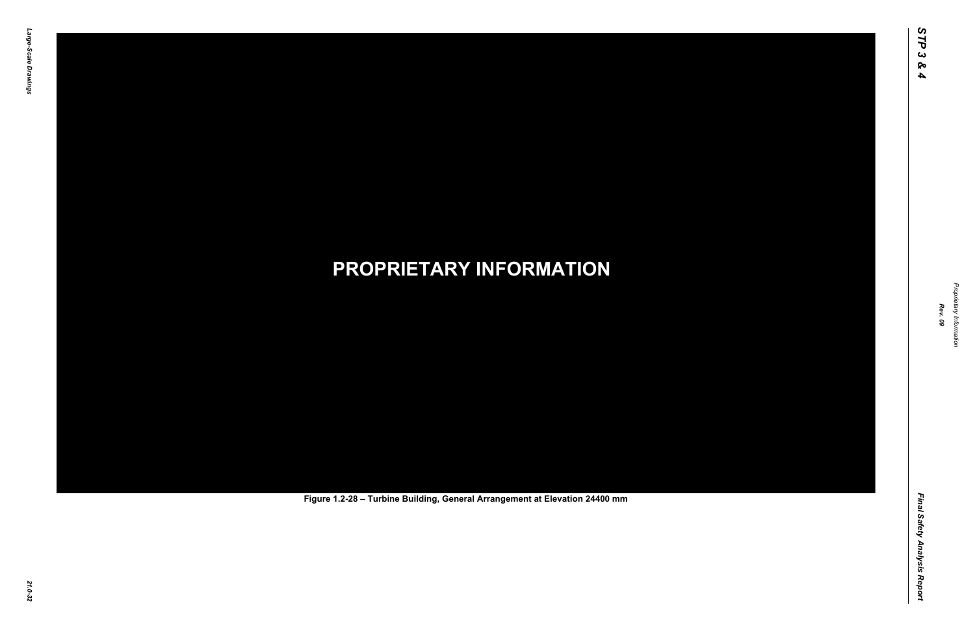Final Safety Analysis Report *Final Safety Analysis Report*

Proprietary Information *Proprietary Information*

# *21.0-32* **PROPRIETARY INFORMATION Figure 1.2-28 – Turbine Building, General Arrangement at Elevation 24400 mm**